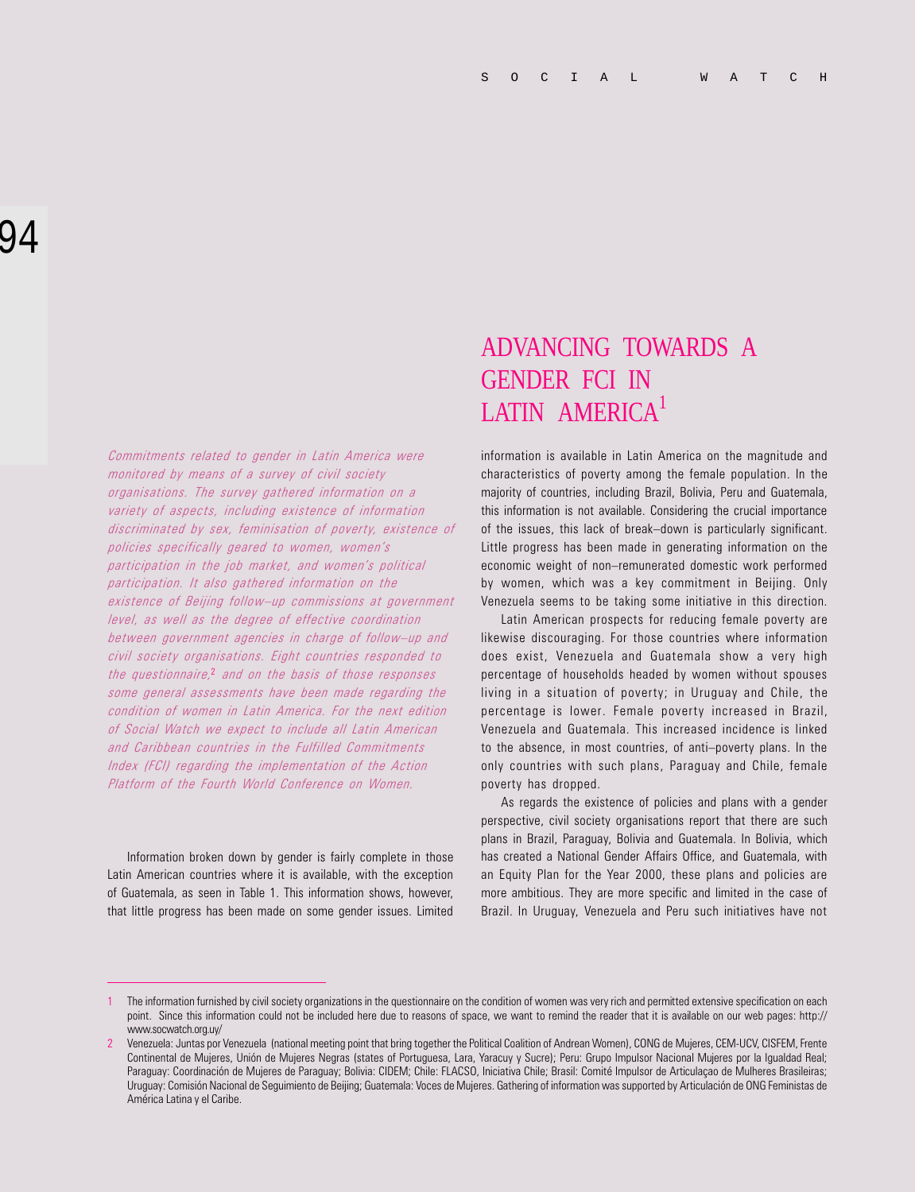Commitments related to gender in Latin America were monitored by means of a survey of civil society organisations. The survey gathered information on a variety of aspects, including existence of information discriminated by sex, feminisation of poverty, existence of policies specifically geared to women, women's participation in the job market, and women's political participation. It also gathered information on the existence of Beijing follow-up commissions at government level, as well as the degree of effective coordination between government agencies in charge of follow-up and civil society organisations. Eight countries responded to the questionnaire,<sup>2</sup> and on the basis of those responses some general assessments have been made regarding the condition of women in Latin America. For the next edition of Social Watch we expect to include all Latin American and Caribbean countries in the Fulfilled Commitments Index (FCI) regarding the implementation of the Action Platform of the Fourth World Conference on Women.

Information broken down by gender is fairly complete in those Latin American countries where it is available, with the exception of Guatemala, as seen in Table 1. This information shows, however, that little progress has been made on some gender issues. Limited

## ADVANCING TOWARDS A GENDER FCI IN LATIN AMERICA<sup>1</sup>

information is available in Latin America on the magnitude and characteristics of poverty among the female population. In the majority of countries, including Brazil, Bolivia, Peru and Guatemala, this information is not available. Considering the crucial importance of the issues, this lack of break-down is particularly significant. Little progress has been made in generating information on the economic weight of non-remunerated domestic work performed by women, which was a key commitment in Beijing. Only Venezuela seems to be taking some initiative in this direction.

Latin American prospects for reducing female poverty are likewise discouraging. For those countries where information does exist, Venezuela and Guatemala show a very high percentage of households headed by women without spouses living in a situation of poverty; in Uruguay and Chile, the percentage is lower. Female poverty increased in Brazil, Venezuela and Guatemala. This increased incidence is linked to the absence, in most countries, of anti-poverty plans. In the only countries with such plans, Paraguay and Chile, female poverty has dropped.

As regards the existence of policies and plans with a gender perspective, civil society organisations report that there are such plans in Brazil, Paraguay, Bolivia and Guatemala. In Bolivia, which has created a National Gender Affairs Office, and Guatemala, with an Equity Plan for the Year 2000, these plans and policies are more ambitious. They are more specific and limited in the case of Brazil. In Uruguay, Venezuela and Peru such initiatives have not

<sup>1</sup> The information furnished by civil society organizations in the questionnaire on the condition of women was very rich and permitted extensive specification on each point. Since this information could not be included here due to reasons of space, we want to remind the reader that it is available on our web pages: http:// www.socwatch.org.uy/

<sup>2</sup> Venezuela: Juntas por Venezuela (national meeting point that bring together the Political Coalition of Andrean Women), CONG de Mujeres, CEM-UCV, CISFEM, Frente Continental de Mujeres, Unión de Mujeres Negras (states of Portuguesa, Lara, Yaracuy y Sucre); Peru: Grupo Impulsor Nacional Mujeres por la Igualdad Real; Paraguay: Coordinación de Mujeres de Paraguay; Bolivia: CIDEM; Chile: FLACSO, Iniciativa Chile; Brasil: Comité Impulsor de Articulaçao de Mulheres Brasileiras; Uruguay: Comisión Nacional de Seguimiento de Beijing; Guatemala: Voces de Mujeres. Gathering of information was supported by Articulación de ONG Feministas de América Latina y el Caribe.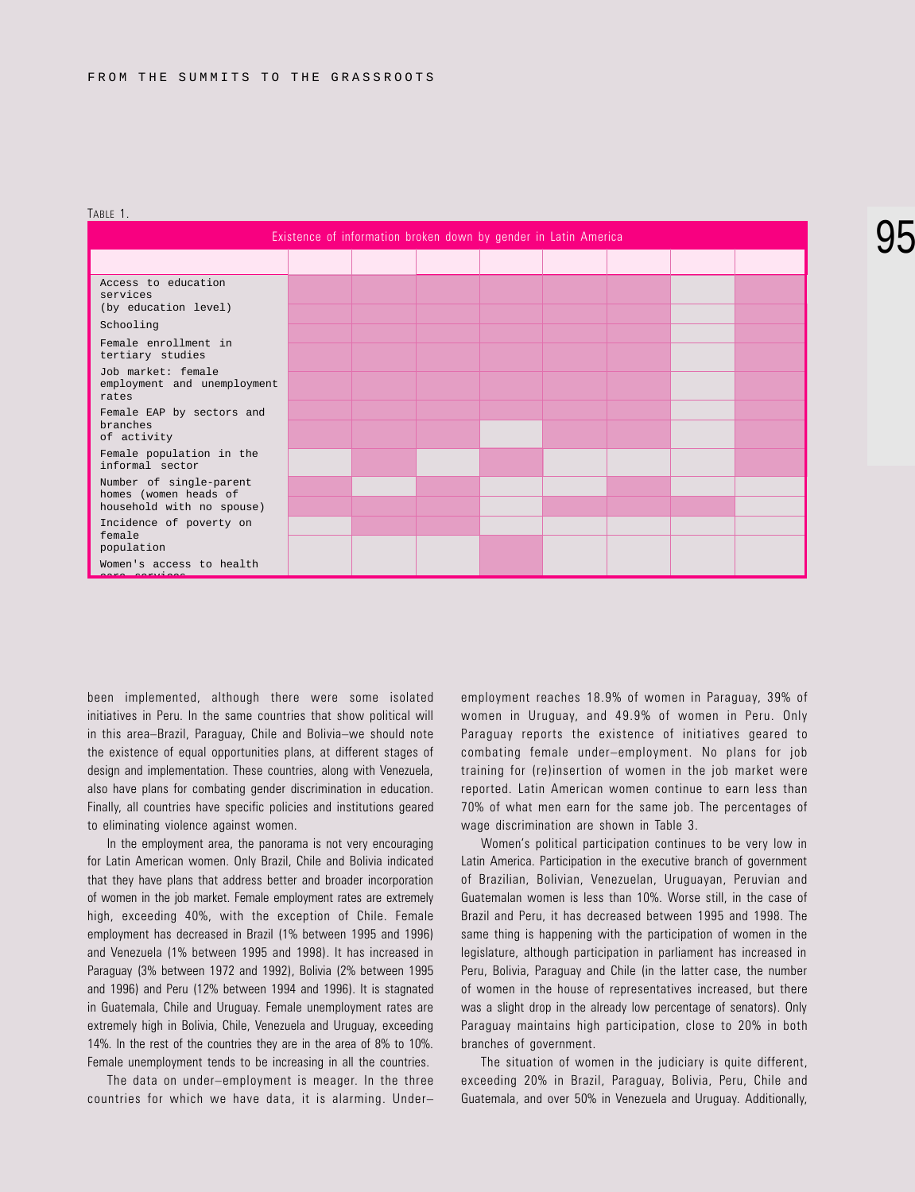| Existence of information broken down by gender in Latin America               |  |  |  |  |  |  |  |  |  |
|-------------------------------------------------------------------------------|--|--|--|--|--|--|--|--|--|
|                                                                               |  |  |  |  |  |  |  |  |  |
| Access to education<br>services<br>(by education level)                       |  |  |  |  |  |  |  |  |  |
| Schooling                                                                     |  |  |  |  |  |  |  |  |  |
| Female enrollment in<br>tertiary studies                                      |  |  |  |  |  |  |  |  |  |
| Job market: female<br>employment and unemployment<br>rates                    |  |  |  |  |  |  |  |  |  |
| Female EAP by sectors and<br>branches<br>of activity                          |  |  |  |  |  |  |  |  |  |
|                                                                               |  |  |  |  |  |  |  |  |  |
| Female population in the<br>informal sector                                   |  |  |  |  |  |  |  |  |  |
| Number of single-parent<br>homes (women heads of<br>household with no spouse) |  |  |  |  |  |  |  |  |  |
|                                                                               |  |  |  |  |  |  |  |  |  |
| Incidence of poverty on<br>female<br>population                               |  |  |  |  |  |  |  |  |  |
|                                                                               |  |  |  |  |  |  |  |  |  |
| Women's access to health                                                      |  |  |  |  |  |  |  |  |  |

TABLE 1.

been implemented, although there were some isolated initiatives in Peru. In the same countries that show political will in this area-Brazil, Paraguay, Chile and Bolivia-we should note the existence of equal opportunities plans, at different stages of design and implementation. These countries, along with Venezuela, also have plans for combating gender discrimination in education. Finally, all countries have specific policies and institutions geared to eliminating violence against women.

In the employment area, the panorama is not very encouraging for Latin American women. Only Brazil, Chile and Bolivia indicated that they have plans that address better and broader incorporation of women in the job market. Female employment rates are extremely high, exceeding 40%, with the exception of Chile. Female employment has decreased in Brazil (1% between 1995 and 1996) and Venezuela (1% between 1995 and 1998). It has increased in Paraguay (3% between 1972 and 1992), Bolivia (2% between 1995 and 1996) and Peru (12% between 1994 and 1996). It is stagnated in Guatemala, Chile and Uruguay. Female unemployment rates are extremely high in Bolivia, Chile, Venezuela and Uruguay, exceeding 14%. In the rest of the countries they are in the area of 8% to 10%. Female unemployment tends to be increasing in all the countries.

The data on under-employment is meager. In the three countries for which we have data, it is alarming. Under

employment reaches 18.9% of women in Paraguay, 39% of women in Uruguay, and 49.9% of women in Peru. Only Paraguay reports the existence of initiatives geared to combating female under-employment. No plans for job training for (re)insertion of women in the job market were reported. Latin American women continue to earn less than 70% of what men earn for the same job. The percentages of wage discrimination are shown in Table 3.

Women's political participation continues to be very low in Latin America. Participation in the executive branch of government of Brazilian, Bolivian, Venezuelan, Uruguayan, Peruvian and Guatemalan women is less than 10%. Worse still, in the case of Brazil and Peru, it has decreased between 1995 and 1998. The same thing is happening with the participation of women in the legislature, although participation in parliament has increased in Peru, Bolivia, Paraguay and Chile (in the latter case, the number of women in the house of representatives increased, but there was a slight drop in the already low percentage of senators). Only Paraguay maintains high participation, close to 20% in both branches of government.

The situation of women in the judiciary is quite different, exceeding 20% in Brazil, Paraguay, Bolivia, Peru, Chile and Guatemala, and over 50% in Venezuela and Uruguay. Additionally,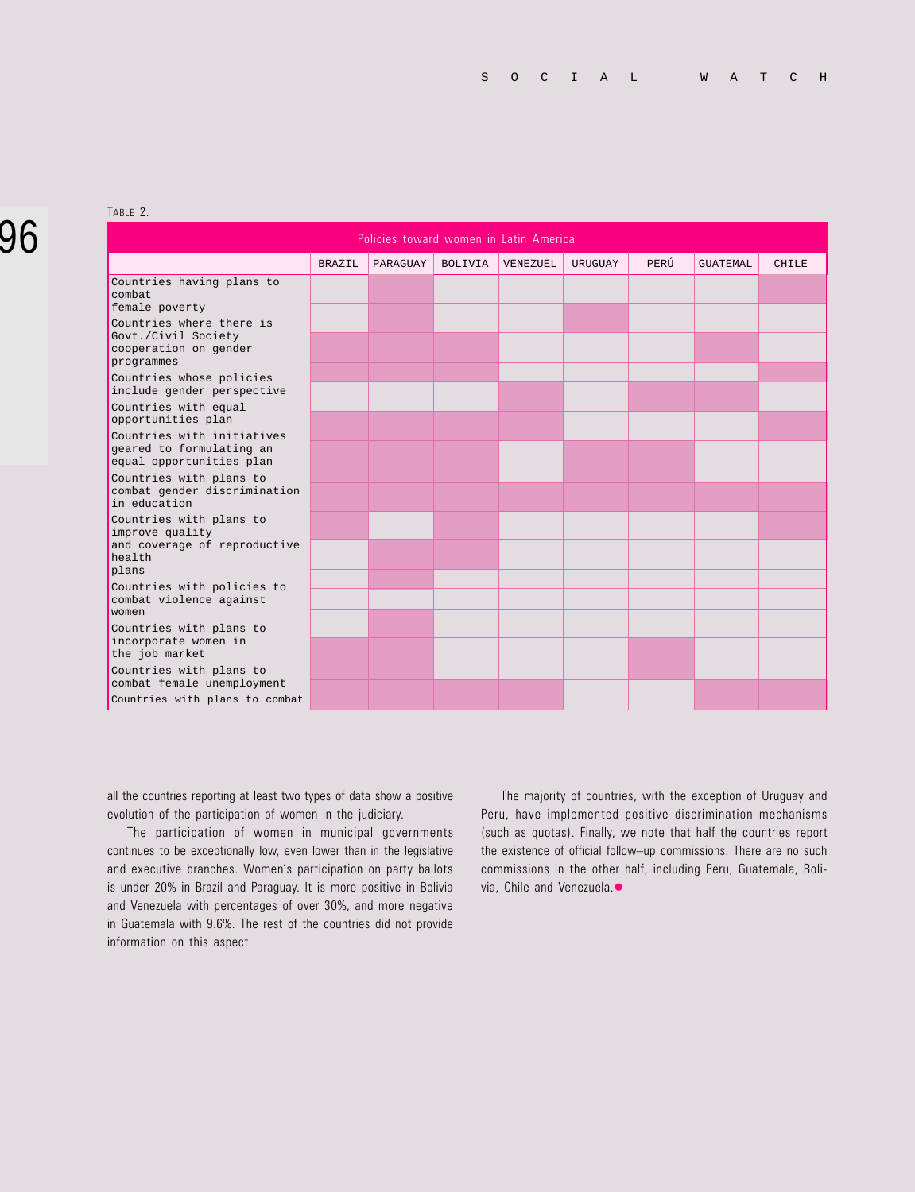## 96

TABLE 2.

| Policies toward women in Latin America                                                        |               |          |                |          |         |      |                 |              |  |
|-----------------------------------------------------------------------------------------------|---------------|----------|----------------|----------|---------|------|-----------------|--------------|--|
|                                                                                               | <b>BRAZIL</b> | PARAGUAY | <b>BOLIVIA</b> | VENEZUEL | URUGUAY | PERÚ | <b>GUATEMAL</b> | <b>CHILE</b> |  |
| Countries having plans to<br>combat<br>female poverty                                         |               |          |                |          |         |      |                 |              |  |
| Countries where there is<br>Govt./Civil Society<br>cooperation on gender<br>programmes        |               |          |                |          |         |      |                 |              |  |
| Countries whose policies<br>include gender perspective                                        |               |          |                |          |         |      |                 |              |  |
| Countries with equal<br>opportunities plan                                                    |               |          |                |          |         |      |                 |              |  |
| Countries with initiatives<br>geared to formulating an<br>equal opportunities plan            |               |          |                |          |         |      |                 |              |  |
| Countries with plans to<br>combat gender discrimination<br>in education                       |               |          |                |          |         |      |                 |              |  |
| Countries with plans to<br>improve quality<br>and coverage of reproductive<br>health<br>plans |               |          |                |          |         |      |                 |              |  |
| Countries with policies to<br>combat violence against<br>women                                |               |          |                |          |         |      |                 |              |  |
| Countries with plans to<br>incorporate women in<br>the job market                             |               |          |                |          |         |      |                 |              |  |
| Countries with plans to<br>combat female unemployment<br>Countries with plans to combat       |               |          |                |          |         |      |                 |              |  |

all the countries reporting at least two types of data show a positive evolution of the participation of women in the judiciary.

The participation of women in municipal governments continues to be exceptionally low, even lower than in the legislative and executive branches. Women's participation on party ballots is under 20% in Brazil and Paraguay. It is more positive in Bolivia and Venezuela with percentages of over 30%, and more negative in Guatemala with 9.6%. The rest of the countries did not provide information on this aspect.

The majority of countries, with the exception of Uruguay and Peru, have implemented positive discrimination mechanisms (such as quotas). Finally, we note that half the countries report the existence of official follow-up commissions. There are no such commissions in the other half, including Peru, Guatemala, Bolivia, Chile and Venezuela.<sup>•</sup>